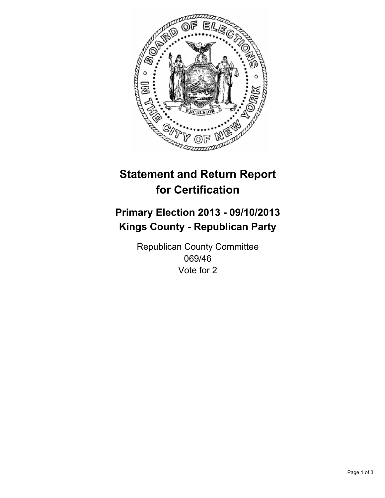

# **Statement and Return Report for Certification**

# **Primary Election 2013 - 09/10/2013 Kings County - Republican Party**

Republican County Committee 069/46 Vote for 2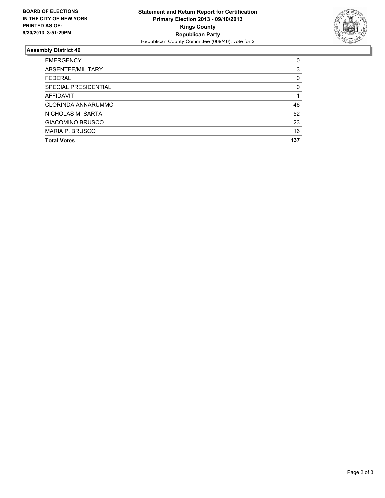

## **Assembly District 46**

| 0        |
|----------|
| 3        |
| 0        |
| $\Omega$ |
|          |
| 46       |
| 52       |
| 23       |
| 16       |
| 137      |
|          |